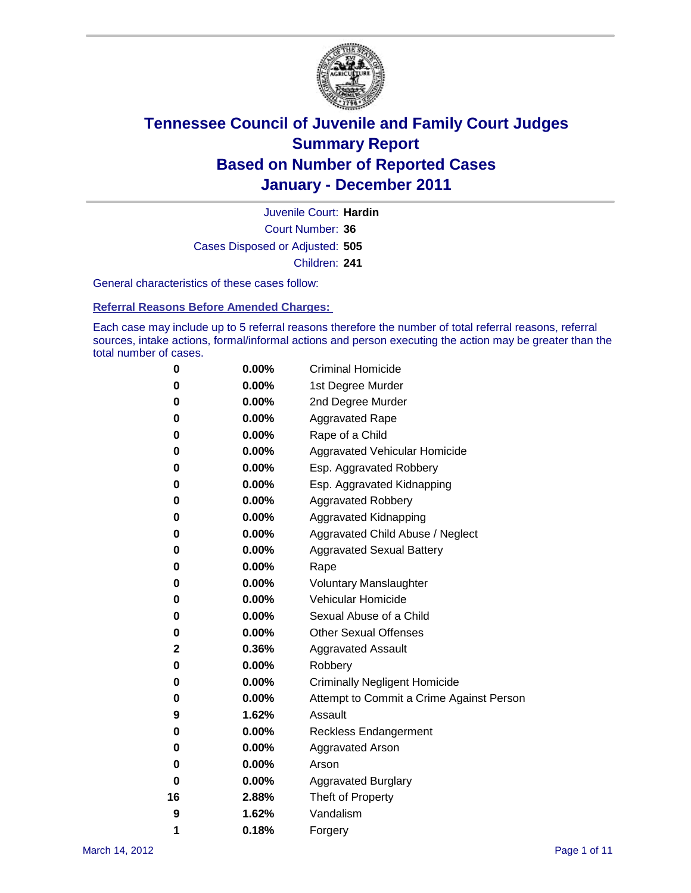

Court Number: **36** Juvenile Court: **Hardin** Cases Disposed or Adjusted: **505** Children: **241**

General characteristics of these cases follow:

**Referral Reasons Before Amended Charges:** 

Each case may include up to 5 referral reasons therefore the number of total referral reasons, referral sources, intake actions, formal/informal actions and person executing the action may be greater than the total number of cases.

| 0  | 0.00%    | <b>Criminal Homicide</b>                 |
|----|----------|------------------------------------------|
| 0  | 0.00%    | 1st Degree Murder                        |
| 0  | 0.00%    | 2nd Degree Murder                        |
| 0  | 0.00%    | <b>Aggravated Rape</b>                   |
| 0  | 0.00%    | Rape of a Child                          |
| 0  | 0.00%    | Aggravated Vehicular Homicide            |
| 0  | 0.00%    | Esp. Aggravated Robbery                  |
| 0  | 0.00%    | Esp. Aggravated Kidnapping               |
| 0  | 0.00%    | <b>Aggravated Robbery</b>                |
| 0  | 0.00%    | Aggravated Kidnapping                    |
| 0  | 0.00%    | Aggravated Child Abuse / Neglect         |
| 0  | $0.00\%$ | <b>Aggravated Sexual Battery</b>         |
| 0  | 0.00%    | Rape                                     |
| 0  | 0.00%    | <b>Voluntary Manslaughter</b>            |
| 0  | 0.00%    | Vehicular Homicide                       |
| 0  | 0.00%    | Sexual Abuse of a Child                  |
| 0  | 0.00%    | <b>Other Sexual Offenses</b>             |
| 2  | 0.36%    | <b>Aggravated Assault</b>                |
| 0  | $0.00\%$ | Robbery                                  |
| 0  | 0.00%    | <b>Criminally Negligent Homicide</b>     |
| 0  | 0.00%    | Attempt to Commit a Crime Against Person |
| 9  | 1.62%    | Assault                                  |
| 0  | 0.00%    | <b>Reckless Endangerment</b>             |
| 0  | 0.00%    | <b>Aggravated Arson</b>                  |
| 0  | 0.00%    | Arson                                    |
| 0  | 0.00%    | <b>Aggravated Burglary</b>               |
| 16 | 2.88%    | Theft of Property                        |
| 9  | 1.62%    | Vandalism                                |
| 1  | 0.18%    | Forgery                                  |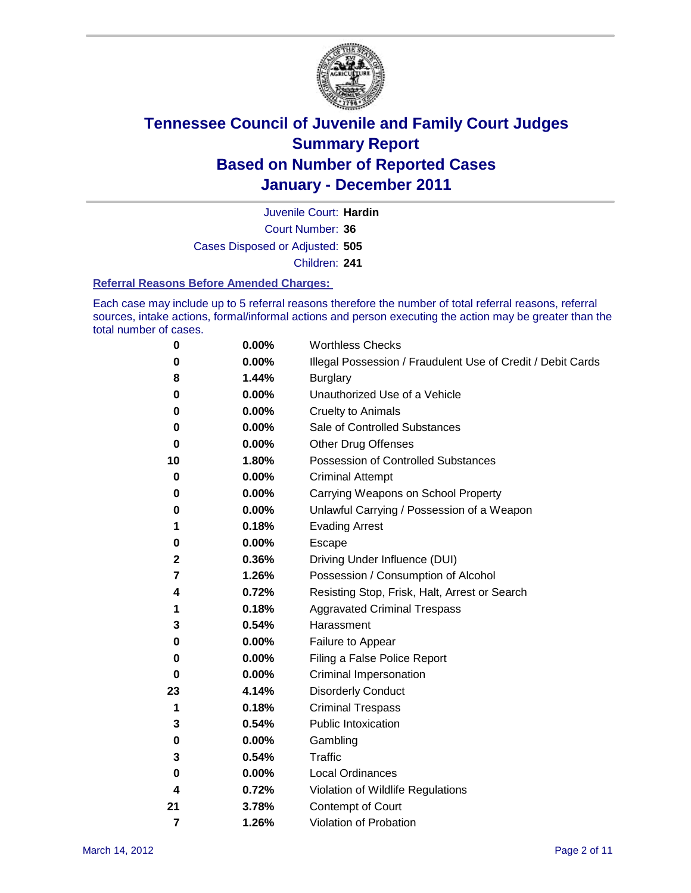

Court Number: **36** Juvenile Court: **Hardin** Cases Disposed or Adjusted: **505** Children: **241**

#### **Referral Reasons Before Amended Charges:**

Each case may include up to 5 referral reasons therefore the number of total referral reasons, referral sources, intake actions, formal/informal actions and person executing the action may be greater than the total number of cases.

| 0  | 0.00% | <b>Worthless Checks</b>                                     |
|----|-------|-------------------------------------------------------------|
| 0  | 0.00% | Illegal Possession / Fraudulent Use of Credit / Debit Cards |
| 8  | 1.44% | <b>Burglary</b>                                             |
| 0  | 0.00% | Unauthorized Use of a Vehicle                               |
| 0  | 0.00% | <b>Cruelty to Animals</b>                                   |
| 0  | 0.00% | Sale of Controlled Substances                               |
| 0  | 0.00% | <b>Other Drug Offenses</b>                                  |
| 10 | 1.80% | Possession of Controlled Substances                         |
| 0  | 0.00% | <b>Criminal Attempt</b>                                     |
| 0  | 0.00% | Carrying Weapons on School Property                         |
| 0  | 0.00% | Unlawful Carrying / Possession of a Weapon                  |
| 1  | 0.18% | <b>Evading Arrest</b>                                       |
| 0  | 0.00% | Escape                                                      |
| 2  | 0.36% | Driving Under Influence (DUI)                               |
| 7  | 1.26% | Possession / Consumption of Alcohol                         |
| 4  | 0.72% | Resisting Stop, Frisk, Halt, Arrest or Search               |
| 1  | 0.18% | <b>Aggravated Criminal Trespass</b>                         |
| 3  | 0.54% | Harassment                                                  |
| 0  | 0.00% | Failure to Appear                                           |
| 0  | 0.00% | Filing a False Police Report                                |
| 0  | 0.00% | Criminal Impersonation                                      |
| 23 | 4.14% | <b>Disorderly Conduct</b>                                   |
| 1  | 0.18% | <b>Criminal Trespass</b>                                    |
| 3  | 0.54% | <b>Public Intoxication</b>                                  |
| 0  | 0.00% | Gambling                                                    |
| 3  | 0.54% | Traffic                                                     |
| 0  | 0.00% | Local Ordinances                                            |
| 4  | 0.72% | Violation of Wildlife Regulations                           |
| 21 | 3.78% | Contempt of Court                                           |
| 7  | 1.26% | Violation of Probation                                      |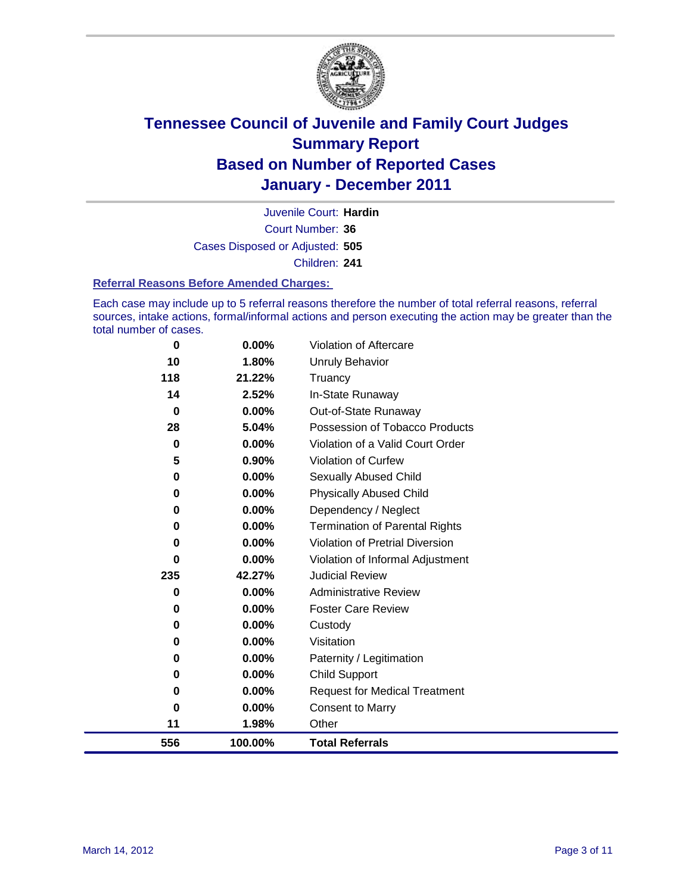

Court Number: **36** Juvenile Court: **Hardin** Cases Disposed or Adjusted: **505** Children: **241**

#### **Referral Reasons Before Amended Charges:**

Each case may include up to 5 referral reasons therefore the number of total referral reasons, referral sources, intake actions, formal/informal actions and person executing the action may be greater than the total number of cases.

| 556      | 100.00%  | <b>Total Referrals</b>                 |
|----------|----------|----------------------------------------|
| 11       | 1.98%    | Other                                  |
| 0        | 0.00%    | Consent to Marry                       |
| 0        | $0.00\%$ | <b>Request for Medical Treatment</b>   |
| 0        | 0.00%    | <b>Child Support</b>                   |
| 0        | $0.00\%$ | Paternity / Legitimation               |
| 0        | $0.00\%$ | Visitation                             |
| 0        | 0.00%    | Custody                                |
| 0        | $0.00\%$ | <b>Foster Care Review</b>              |
| 0        | $0.00\%$ | <b>Administrative Review</b>           |
| 235      | 42.27%   | <b>Judicial Review</b>                 |
| 0        | $0.00\%$ | Violation of Informal Adjustment       |
| 0        | 0.00%    | <b>Violation of Pretrial Diversion</b> |
| 0        | $0.00\%$ | <b>Termination of Parental Rights</b>  |
| 0        | $0.00\%$ | Dependency / Neglect                   |
| 0        | 0.00%    | <b>Physically Abused Child</b>         |
| 0        | $0.00\%$ | <b>Sexually Abused Child</b>           |
| 5        | 0.90%    | <b>Violation of Curfew</b>             |
| $\bf{0}$ | 0.00%    | Violation of a Valid Court Order       |
| 28       | 5.04%    | Possession of Tobacco Products         |
| 0        | $0.00\%$ | Out-of-State Runaway                   |
| 14       | 2.52%    | In-State Runaway                       |
| 118      | 21.22%   | Truancy                                |
| 10       | 1.80%    | <b>Unruly Behavior</b>                 |
| 0        | 0.00%    | Violation of Aftercare                 |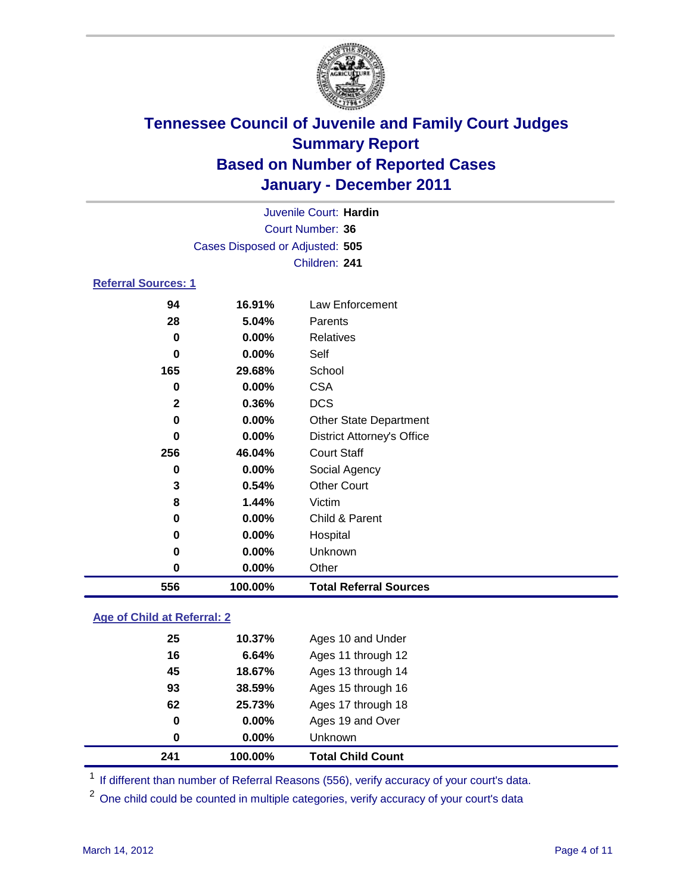

| Juvenile Court: Hardin |                                 |                                   |  |  |
|------------------------|---------------------------------|-----------------------------------|--|--|
|                        | Court Number: 36                |                                   |  |  |
|                        | Cases Disposed or Adjusted: 505 |                                   |  |  |
|                        |                                 | Children: 241                     |  |  |
|                        | <b>Referral Sources: 1</b>      |                                   |  |  |
| 94                     | 16.91%                          | <b>Law Enforcement</b>            |  |  |
| 28                     | 5.04%                           | Parents                           |  |  |
| 0                      | 0.00%                           | <b>Relatives</b>                  |  |  |
| 0                      | $0.00\%$                        | Self                              |  |  |
| 165                    | 29.68%                          | School                            |  |  |
| 0                      | $0.00\%$                        | <b>CSA</b>                        |  |  |
| $\mathbf{2}$           | 0.36%                           | <b>DCS</b>                        |  |  |
| $\bf{0}$               | 0.00%                           | <b>Other State Department</b>     |  |  |
| $\bf{0}$               | 0.00%                           | <b>District Attorney's Office</b> |  |  |
| 256                    | 46.04%                          | <b>Court Staff</b>                |  |  |
| $\bf{0}$               | 0.00%                           | Social Agency                     |  |  |
| 3                      | 0.54%                           | <b>Other Court</b>                |  |  |
| 8                      | 1.44%                           | Victim                            |  |  |
| 0                      | $0.00\%$                        | Child & Parent                    |  |  |
| 0                      | 0.00%                           | Hospital                          |  |  |
| $\bf{0}$               | 0.00%                           | Unknown                           |  |  |
| 0                      | 0.00%                           | Other                             |  |  |
| 556                    | 100.00%                         | <b>Total Referral Sources</b>     |  |  |

### **Age of Child at Referral: 2**

| 241 | 100.00%      |                            | <b>Total Child Count</b> |
|-----|--------------|----------------------------|--------------------------|
|     | 0            | $0.00\%$<br><b>Unknown</b> |                          |
|     | 0            | 0.00%                      | Ages 19 and Over         |
|     | 62<br>25.73% |                            | Ages 17 through 18       |
|     | 93<br>38.59% |                            | Ages 15 through 16       |
|     | 45<br>18.67% |                            | Ages 13 through 14       |
|     | 16           | 6.64%                      | Ages 11 through 12       |
|     | 25<br>10.37% |                            | Ages 10 and Under        |
|     |              |                            |                          |

<sup>1</sup> If different than number of Referral Reasons (556), verify accuracy of your court's data.

One child could be counted in multiple categories, verify accuracy of your court's data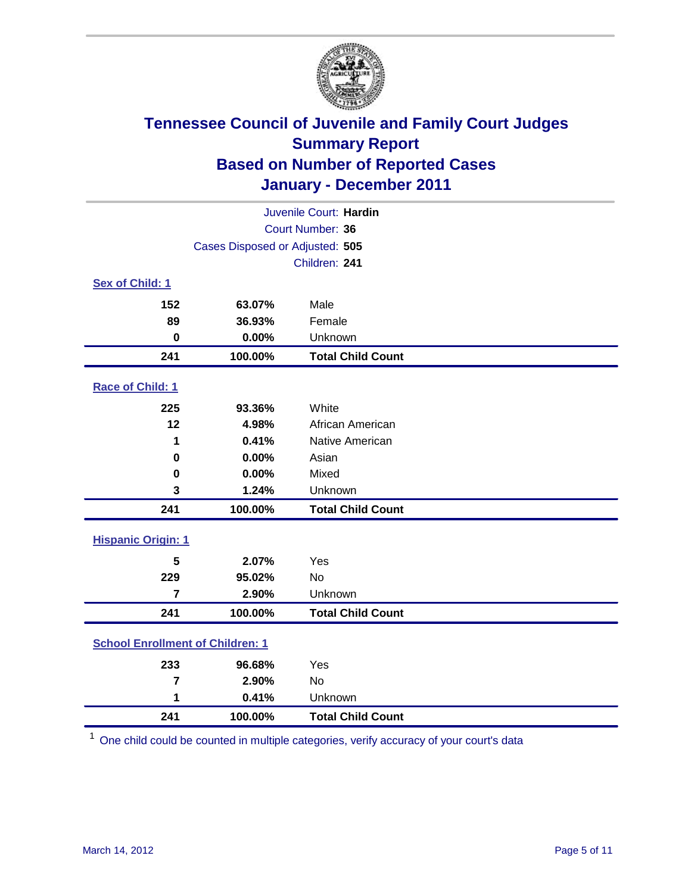

| Juvenile Court: Hardin                  |                                 |                          |  |  |
|-----------------------------------------|---------------------------------|--------------------------|--|--|
|                                         | Court Number: 36                |                          |  |  |
|                                         | Cases Disposed or Adjusted: 505 |                          |  |  |
|                                         |                                 | Children: 241            |  |  |
| Sex of Child: 1                         |                                 |                          |  |  |
| 152                                     | 63.07%                          | Male                     |  |  |
| 89                                      | 36.93%                          | Female                   |  |  |
| $\mathbf 0$                             | 0.00%                           | Unknown                  |  |  |
| 241                                     | 100.00%                         | <b>Total Child Count</b> |  |  |
| Race of Child: 1                        |                                 |                          |  |  |
| 225                                     | 93.36%                          | White                    |  |  |
| 12                                      | 4.98%                           | African American         |  |  |
| 1                                       | 0.41%                           | Native American          |  |  |
| $\mathbf 0$                             | 0.00%                           | Asian                    |  |  |
| $\mathbf 0$                             | 0.00%                           | Mixed                    |  |  |
| 3                                       | 1.24%                           | Unknown                  |  |  |
| 241                                     | 100.00%                         | <b>Total Child Count</b> |  |  |
| <b>Hispanic Origin: 1</b>               |                                 |                          |  |  |
| 5                                       | 2.07%                           | Yes                      |  |  |
| 229                                     | 95.02%                          | No                       |  |  |
| $\overline{7}$                          | 2.90%                           | Unknown                  |  |  |
| 241                                     | 100.00%                         | <b>Total Child Count</b> |  |  |
| <b>School Enrollment of Children: 1</b> |                                 |                          |  |  |
| 233                                     | 96.68%                          | Yes                      |  |  |
| $\overline{7}$                          | 2.90%                           | No                       |  |  |
| 1                                       | 0.41%                           | Unknown                  |  |  |
| 241                                     | 100.00%                         | <b>Total Child Count</b> |  |  |

One child could be counted in multiple categories, verify accuracy of your court's data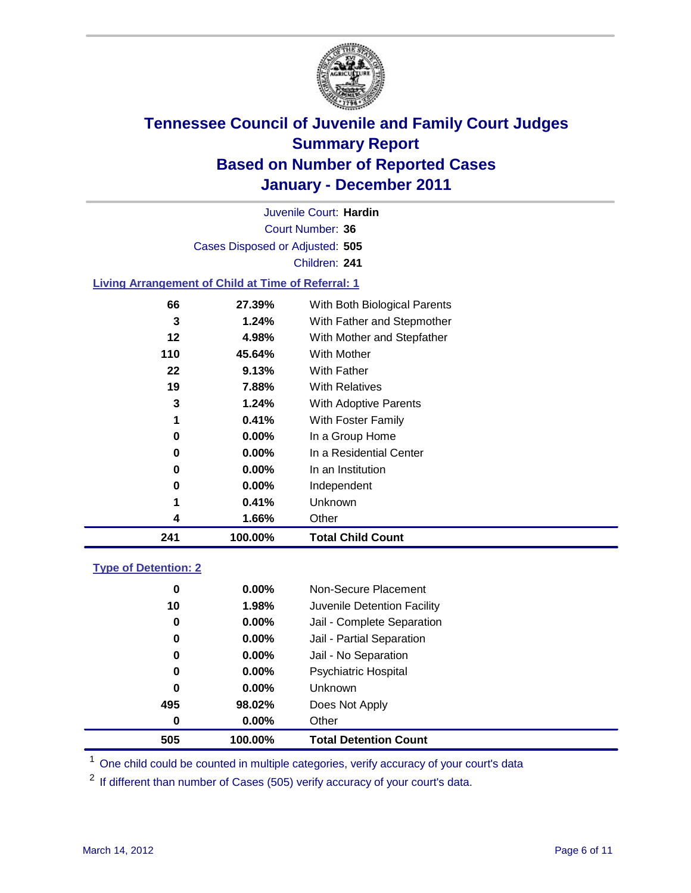

Court Number: **36** Juvenile Court: **Hardin** Cases Disposed or Adjusted: **505** Children: **241**

### **Living Arrangement of Child at Time of Referral: 1**

| 241 | 100.00%  | <b>Total Child Count</b>     |  |
|-----|----------|------------------------------|--|
| 4   | 1.66%    | Other                        |  |
| 1   | 0.41%    | <b>Unknown</b>               |  |
| 0   | $0.00\%$ | Independent                  |  |
| 0   | $0.00\%$ | In an Institution            |  |
| 0   | $0.00\%$ | In a Residential Center      |  |
| 0   | $0.00\%$ | In a Group Home              |  |
| 1   | 0.41%    | With Foster Family           |  |
| 3   | 1.24%    | With Adoptive Parents        |  |
| 19  | 7.88%    | <b>With Relatives</b>        |  |
| 22  | 9.13%    | <b>With Father</b>           |  |
| 110 | 45.64%   | With Mother                  |  |
| 12  | 4.98%    | With Mother and Stepfather   |  |
| 3   | 1.24%    | With Father and Stepmother   |  |
| 66  | 27.39%   | With Both Biological Parents |  |
|     |          |                              |  |

#### **Type of Detention: 2**

| 505 | 100.00%  | <b>Total Detention Count</b> |  |
|-----|----------|------------------------------|--|
| 0   | $0.00\%$ | Other                        |  |
| 495 | 98.02%   | Does Not Apply               |  |
| 0   | $0.00\%$ | <b>Unknown</b>               |  |
| 0   | 0.00%    | Psychiatric Hospital         |  |
| 0   | 0.00%    | Jail - No Separation         |  |
| 0   | $0.00\%$ | Jail - Partial Separation    |  |
| 0   | 0.00%    | Jail - Complete Separation   |  |
| 10  | 1.98%    | Juvenile Detention Facility  |  |
| 0   | $0.00\%$ | Non-Secure Placement         |  |
|     |          |                              |  |

<sup>1</sup> One child could be counted in multiple categories, verify accuracy of your court's data

<sup>2</sup> If different than number of Cases (505) verify accuracy of your court's data.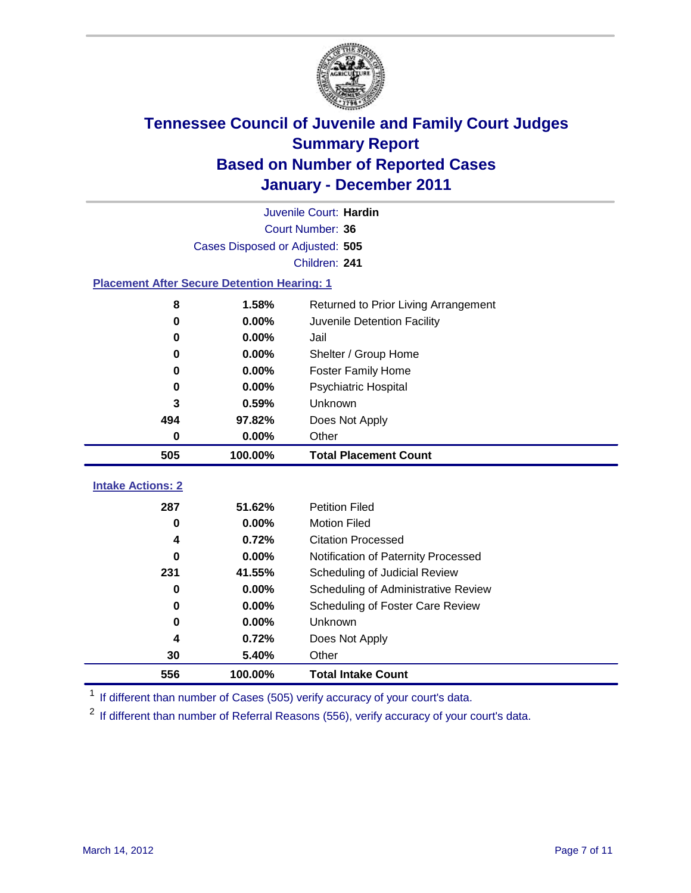

|                                                    | Juvenile Court: Hardin          |                                      |  |  |
|----------------------------------------------------|---------------------------------|--------------------------------------|--|--|
|                                                    | Court Number: 36                |                                      |  |  |
|                                                    | Cases Disposed or Adjusted: 505 |                                      |  |  |
|                                                    |                                 | Children: 241                        |  |  |
| <b>Placement After Secure Detention Hearing: 1</b> |                                 |                                      |  |  |
| 8                                                  | 1.58%                           | Returned to Prior Living Arrangement |  |  |
| $\bf{0}$                                           | 0.00%                           | Juvenile Detention Facility          |  |  |
| $\bf{0}$                                           | 0.00%                           | Jail                                 |  |  |
| 0                                                  | 0.00%                           | Shelter / Group Home                 |  |  |
| 0                                                  | 0.00%                           | <b>Foster Family Home</b>            |  |  |
| $\bf{0}$                                           | 0.00%                           | Psychiatric Hospital                 |  |  |
| 3                                                  | 0.59%                           | <b>Unknown</b>                       |  |  |
| 494                                                | 97.82%                          | Does Not Apply                       |  |  |
| $\mathbf 0$                                        | 0.00%                           | Other                                |  |  |
| 505                                                | 100.00%                         | <b>Total Placement Count</b>         |  |  |
|                                                    |                                 |                                      |  |  |
| <b>Intake Actions: 2</b>                           |                                 |                                      |  |  |
| 287                                                | 51.62%                          | <b>Petition Filed</b>                |  |  |
| $\bf{0}$                                           | 0.00%                           | <b>Motion Filed</b>                  |  |  |
| 4                                                  | 0.72%                           | <b>Citation Processed</b>            |  |  |
| 0                                                  | 0.00%                           | Notification of Paternity Processed  |  |  |
| 231                                                | 41.55%                          | Scheduling of Judicial Review        |  |  |
| $\bf{0}$                                           | 0.00%                           | Scheduling of Administrative Review  |  |  |
| 0                                                  | 0.00%                           | Scheduling of Foster Care Review     |  |  |
| $\bf{0}$                                           | 0.00%                           | Unknown                              |  |  |
| 4                                                  | 0.72%                           | Does Not Apply                       |  |  |
| 30                                                 | 5.40%                           | Other                                |  |  |
| 556                                                | 100.00%                         | <b>Total Intake Count</b>            |  |  |

<sup>1</sup> If different than number of Cases (505) verify accuracy of your court's data.

<sup>2</sup> If different than number of Referral Reasons (556), verify accuracy of your court's data.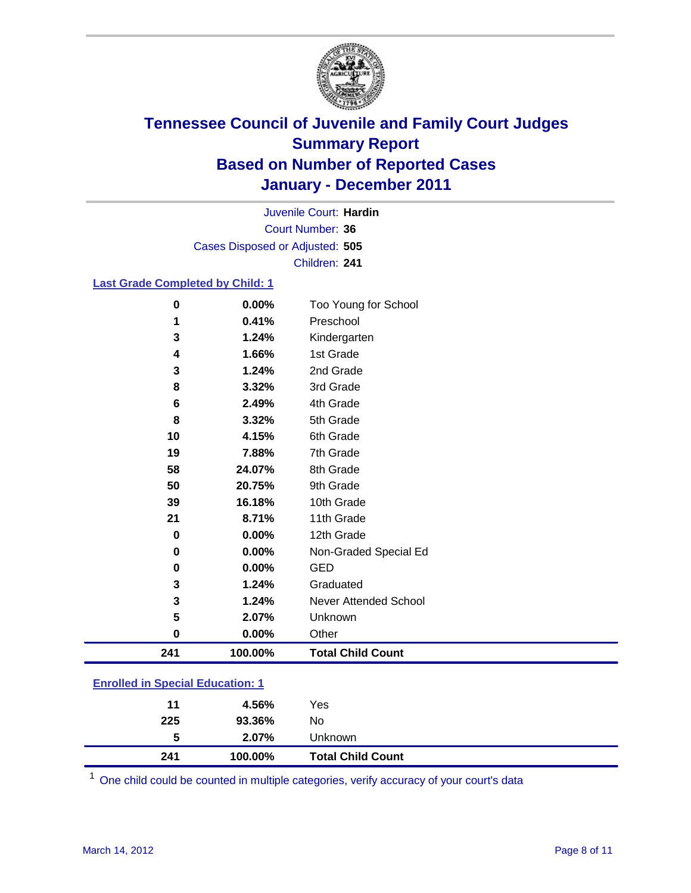

Court Number: **36** Juvenile Court: **Hardin** Cases Disposed or Adjusted: **505** Children: **241**

### **Last Grade Completed by Child: 1**

| $\bf{0}$ | 0.00%   | Too Young for School         |  |  |
|----------|---------|------------------------------|--|--|
| 1        | 0.41%   | Preschool                    |  |  |
| 3        | 1.24%   | Kindergarten                 |  |  |
| 4        | 1.66%   | 1st Grade                    |  |  |
| 3        | 1.24%   | 2nd Grade                    |  |  |
| 8        | 3.32%   | 3rd Grade                    |  |  |
| 6        | 2.49%   | 4th Grade                    |  |  |
| 8        | 3.32%   | 5th Grade                    |  |  |
| 10       | 4.15%   | 6th Grade                    |  |  |
| 19       | 7.88%   | 7th Grade                    |  |  |
| 58       | 24.07%  | 8th Grade                    |  |  |
| 50       | 20.75%  | 9th Grade                    |  |  |
| 39       | 16.18%  | 10th Grade                   |  |  |
| 21       | 8.71%   | 11th Grade                   |  |  |
| $\bf{0}$ | 0.00%   | 12th Grade                   |  |  |
| 0        | 0.00%   | Non-Graded Special Ed        |  |  |
| 0        | 0.00%   | <b>GED</b>                   |  |  |
| 3        | 1.24%   | Graduated                    |  |  |
| 3        | 1.24%   | <b>Never Attended School</b> |  |  |
| 5        | 2.07%   | Unknown                      |  |  |
| $\bf{0}$ | 0.00%   | Other                        |  |  |
| 241      | 100.00% | <b>Total Child Count</b>     |  |  |
| .        |         |                              |  |  |

### **Enrolled in Special Education: 1**

| 241 | 100.00%  | <b>Total Child Count</b> |
|-----|----------|--------------------------|
| 5   | $2.07\%$ | <b>Unknown</b>           |
| 225 | 93.36%   | No                       |
| 11  | 4.56%    | Yes                      |
|     |          |                          |

One child could be counted in multiple categories, verify accuracy of your court's data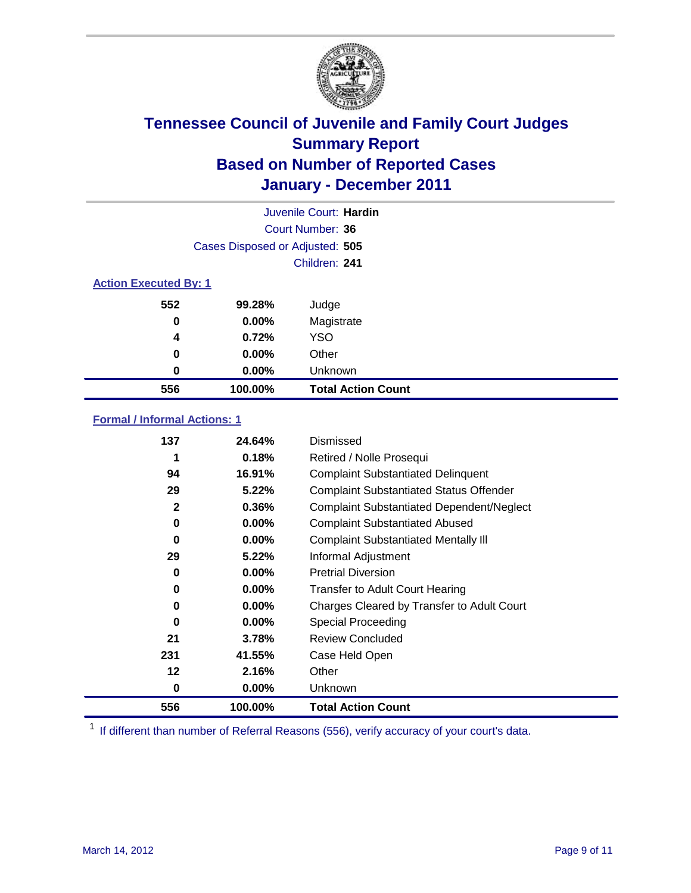

|                              | Juvenile Court: Hardin          |                           |  |  |
|------------------------------|---------------------------------|---------------------------|--|--|
|                              | Court Number: 36                |                           |  |  |
|                              | Cases Disposed or Adjusted: 505 |                           |  |  |
|                              |                                 | Children: 241             |  |  |
| <b>Action Executed By: 1</b> |                                 |                           |  |  |
| 552                          | 99.28%                          | Judge                     |  |  |
| 0                            | $0.00\%$                        | Magistrate                |  |  |
| 4                            | 0.72%                           | <b>YSO</b>                |  |  |
| 0                            | 0.00%                           | Other                     |  |  |
| 0                            | 0.00%                           | Unknown                   |  |  |
| 556                          | 100.00%                         | <b>Total Action Count</b> |  |  |

### **Formal / Informal Actions: 1**

| 137 | 24.64%   | Dismissed                                        |
|-----|----------|--------------------------------------------------|
|     | 0.18%    | Retired / Nolle Prosequi                         |
| 94  | 16.91%   | <b>Complaint Substantiated Delinquent</b>        |
| 29  | 5.22%    | <b>Complaint Substantiated Status Offender</b>   |
| 2   | 0.36%    | <b>Complaint Substantiated Dependent/Neglect</b> |
| 0   | $0.00\%$ | <b>Complaint Substantiated Abused</b>            |
| 0   | $0.00\%$ | <b>Complaint Substantiated Mentally III</b>      |
| 29  | 5.22%    | Informal Adjustment                              |
| 0   | $0.00\%$ | <b>Pretrial Diversion</b>                        |
| 0   | $0.00\%$ | <b>Transfer to Adult Court Hearing</b>           |
| 0   | $0.00\%$ | Charges Cleared by Transfer to Adult Court       |
| 0   | $0.00\%$ | Special Proceeding                               |
| 21  | 3.78%    | <b>Review Concluded</b>                          |
| 231 | 41.55%   | Case Held Open                                   |
| 12  | 2.16%    | Other                                            |
| 0   | $0.00\%$ | Unknown                                          |
| 556 | 100.00%  | <b>Total Action Count</b>                        |

<sup>1</sup> If different than number of Referral Reasons (556), verify accuracy of your court's data.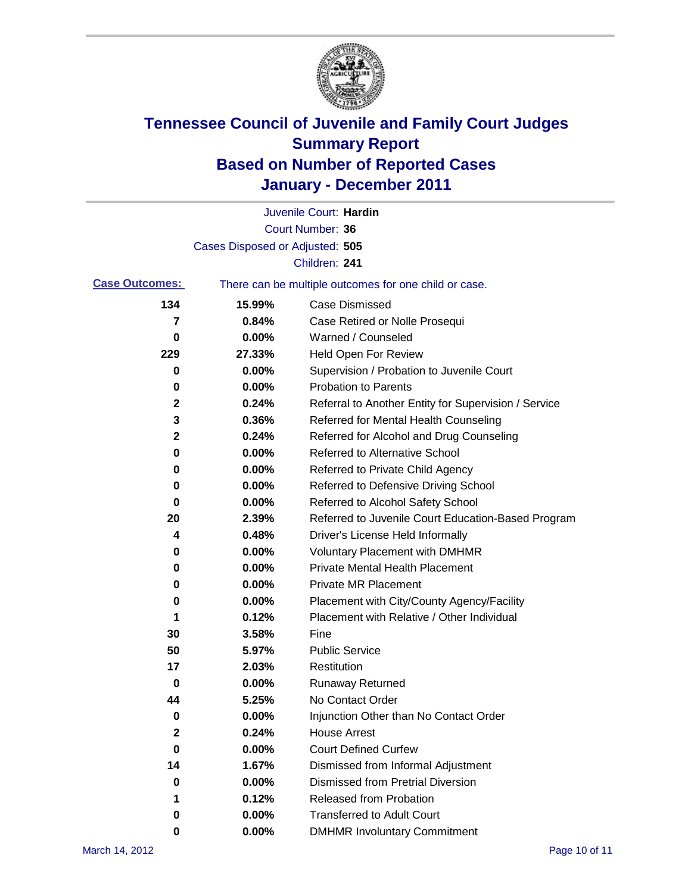

|                       |                                 | Juvenile Court: Hardin                                |
|-----------------------|---------------------------------|-------------------------------------------------------|
|                       |                                 | Court Number: 36                                      |
|                       | Cases Disposed or Adjusted: 505 |                                                       |
|                       |                                 | Children: 241                                         |
| <b>Case Outcomes:</b> |                                 | There can be multiple outcomes for one child or case. |
| 134                   | 15.99%                          | <b>Case Dismissed</b>                                 |
| 7                     | 0.84%                           | Case Retired or Nolle Prosequi                        |
| 0                     | 0.00%                           | Warned / Counseled                                    |
| 229                   | 27.33%                          | Held Open For Review                                  |
| 0                     | 0.00%                           | Supervision / Probation to Juvenile Court             |
| 0                     | 0.00%                           | <b>Probation to Parents</b>                           |
| 2                     | 0.24%                           | Referral to Another Entity for Supervision / Service  |
| 3                     | 0.36%                           | Referred for Mental Health Counseling                 |
| $\mathbf 2$           | 0.24%                           | Referred for Alcohol and Drug Counseling              |
| 0                     | 0.00%                           | <b>Referred to Alternative School</b>                 |
| 0                     | 0.00%                           | Referred to Private Child Agency                      |
| 0                     | 0.00%                           | Referred to Defensive Driving School                  |
| 0                     | 0.00%                           | Referred to Alcohol Safety School                     |
| 20                    | 2.39%                           | Referred to Juvenile Court Education-Based Program    |
| 4                     | 0.48%                           | Driver's License Held Informally                      |
| 0                     | 0.00%                           | <b>Voluntary Placement with DMHMR</b>                 |
| 0                     | 0.00%                           | <b>Private Mental Health Placement</b>                |
| 0                     | 0.00%                           | <b>Private MR Placement</b>                           |
| 0                     | 0.00%                           | Placement with City/County Agency/Facility            |
| 1                     | 0.12%                           | Placement with Relative / Other Individual            |
| 30                    | 3.58%                           | Fine                                                  |
| 50                    | 5.97%                           | <b>Public Service</b>                                 |
| 17                    | 2.03%                           | Restitution                                           |
| 0                     | 0.00%                           | Runaway Returned                                      |
| 44                    | 5.25%                           | No Contact Order                                      |
| $\pmb{0}$             | 0.00%                           | Injunction Other than No Contact Order                |
| 2                     | 0.24%                           | <b>House Arrest</b>                                   |
| 0                     | 0.00%                           | <b>Court Defined Curfew</b>                           |
| 14                    | 1.67%                           | Dismissed from Informal Adjustment                    |
| 0                     | 0.00%                           | <b>Dismissed from Pretrial Diversion</b>              |
| 1                     | 0.12%                           | Released from Probation                               |
| 0                     | 0.00%                           | <b>Transferred to Adult Court</b>                     |
| 0                     | $0.00\%$                        | <b>DMHMR Involuntary Commitment</b>                   |